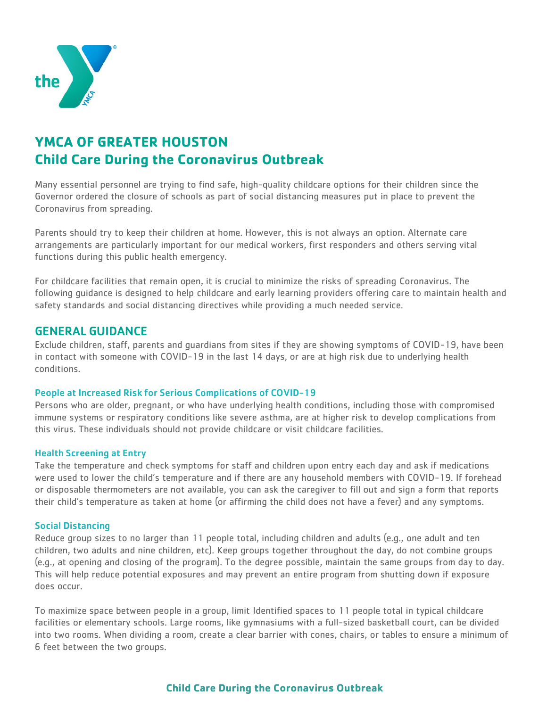

# **YMCA OF GREATER HOUSTON Child Care During the Coronavirus Outbreak**

Many essential personnel are trying to find safe, high-quality childcare options for their children since the Governor ordered the closure of schools as part of social distancing measures put in place to prevent the Coronavirus from spreading.

Parents should try to keep their children at home. However, this is not always an option. Alternate care arrangements are particularly important for our medical workers, first responders and others serving vital functions during this public health emergency.

For childcare facilities that remain open, it is crucial to minimize the risks of spreading Coronavirus. The following guidance is designed to help childcare and early learning providers offering care to maintain health and safety standards and social distancing directives while providing a much needed service.

# GENERAL GUIDANCE

Exclude children, staff, parents and guardians from sites if they are showing symptoms of COVID-19, have been in contact with someone with COVID-19 in the last 14 days, or are at high risk due to underlying health conditions.

#### People at Increased Risk for Serious Complications of COVID-19

Persons who are older, pregnant, or who have underlying health conditions, including those with compromised immune systems or respiratory conditions like severe asthma, are at higher risk to develop complications from this virus. These individuals should not provide childcare or visit childcare facilities.

#### Health Screening at Entry

Take the temperature and check symptoms for staff and children upon entry each day and ask if medications were used to lower the child's temperature and if there are any household members with COVID-19. If forehead or disposable thermometers are not available, you can ask the caregiver to fill out and sign a form that reports their child's temperature as taken at home (or affirming the child does not have a fever) and any symptoms.

#### Social Distancing

Reduce group sizes to no larger than 11 people total, including children and adults (e.g., one adult and ten children, two adults and nine children, etc). Keep groups together throughout the day, do not combine groups (e.g., at opening and closing of the program). To the degree possible, maintain the same groups from day to day. This will help reduce potential exposures and may prevent an entire program from shutting down if exposure does occur.

To maximize space between people in a group, limit Identified spaces to 11 people total in typical childcare facilities or elementary schools. Large rooms, like gymnasiums with a full-sized basketball court, can be divided into two rooms. When dividing a room, create a clear barrier with cones, chairs, or tables to ensure a minimum of 6 feet between the two groups.

# **Child Care During the Coronavirus Outbreak**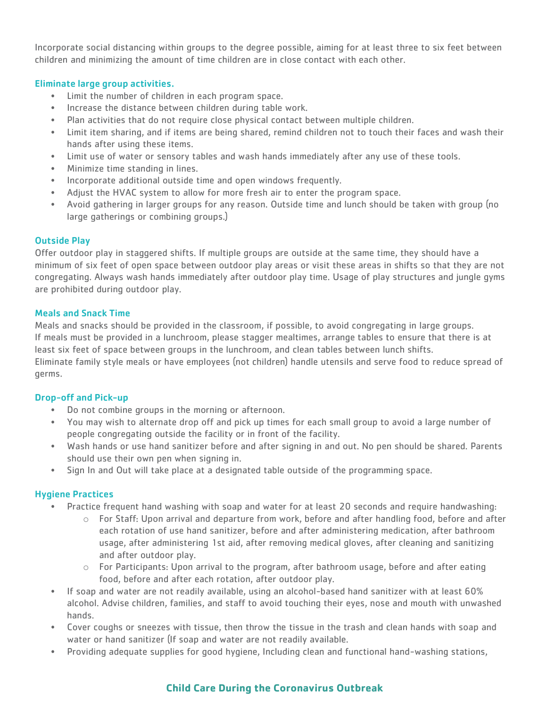Incorporate social distancing within groups to the degree possible, aiming for at least three to six feet between children and minimizing the amount of time children are in close contact with each other.

## Eliminate large group activities.

- Limit the number of children in each program space.
- Increase the distance between children during table work.
- Plan activities that do not require close physical contact between multiple children.
- Limit item sharing, and if items are being shared, remind children not to touch their faces and wash their hands after using these items.
- Limit use of water or sensory tables and wash hands immediately after any use of these tools.
- Minimize time standing in lines.
- Incorporate additional outside time and open windows frequently.
- Adjust the HVAC system to allow for more fresh air to enter the program space.
- Avoid gathering in larger groups for any reason. Outside time and lunch should be taken with group (no large gatherings or combining groups.)

#### Outside Play

Offer outdoor play in staggered shifts. If multiple groups are outside at the same time, they should have a minimum of six feet of open space between outdoor play areas or visit these areas in shifts so that they are not congregating. Always wash hands immediately after outdoor play time. Usage of play structures and jungle gyms are prohibited during outdoor play.

#### Meals and Snack Time

Meals and snacks should be provided in the classroom, if possible, to avoid congregating in large groups. If meals must be provided in a lunchroom, please stagger mealtimes, arrange tables to ensure that there is at least six feet of space between groups in the lunchroom, and clean tables between lunch shifts. Eliminate family style meals or have employees (not children) handle utensils and serve food to reduce spread of germs.

#### Drop-off and Pick-up

- Do not combine groups in the morning or afternoon.
- You may wish to alternate drop off and pick up times for each small group to avoid a large number of people congregating outside the facility or in front of the facility.
- Wash hands or use hand sanitizer before and after signing in and out. No pen should be shared. Parents should use their own pen when signing in.
- Sign In and Out will take place at a designated table outside of the programming space.

## Hygiene Practices

- Practice frequent hand washing with soap and water for at least 20 seconds and require handwashing:
	- $\circ$  For Staff: Upon arrival and departure from work, before and after handling food, before and after each rotation of use hand sanitizer, before and after administering medication, after bathroom usage, after administering 1st aid, after removing medical gloves, after cleaning and sanitizing and after outdoor play.
	- $\circ$  For Participants: Upon arrival to the program, after bathroom usage, before and after eating food, before and after each rotation, after outdoor play.
- If soap and water are not readily available, using an alcohol-based hand sanitizer with at least 60% alcohol. Advise children, families, and staff to avoid touching their eyes, nose and mouth with unwashed hands.
- Cover coughs or sneezes with tissue, then throw the tissue in the trash and clean hands with soap and water or hand sanitizer (If soap and water are not readily available.
- Providing adequate supplies for good hygiene, Including clean and functional hand-washing stations,

# **Child Care During the Coronavirus Outbreak**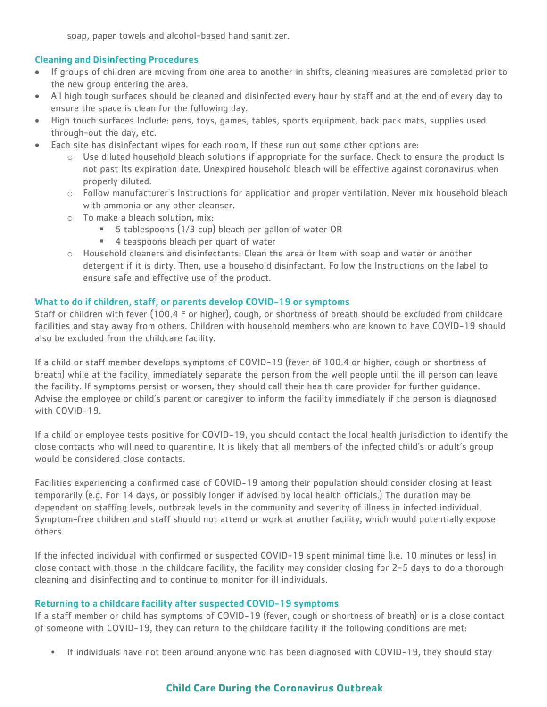soap, paper towels and alcohol-based hand sanitizer.

## Cleaning and Disinfecting Procedures

- If groups of children are moving from one area to another in shifts, cleaning measures are completed prior to the new group entering the area.
- All high tough surfaces should be cleaned and disinfected every hour by staff and at the end of every day to ensure the space is clean for the following day.
- High touch surfaces Include: pens, toys, games, tables, sports equipment, back pack mats, supplies used through-out the day, etc.
- Each site has disinfectant wipes for each room, If these run out some other options are:
	- $\circ$  Use diluted household bleach solutions if appropriate for the surface. Check to ensure the product Is not past Its expiration date. Unexpired household bleach will be effective against coronavirus when properly diluted.
	- $\circ$  Follow manufacturer's Instructions for application and proper ventilation. Never mix household bleach with ammonia or any other cleanser.
	- o To make a bleach solution, mix:
		- 5 tablespoons (1/3 cup) bleach per gallon of water OR
		- 4 teaspoons bleach per quart of water
	- $\circ$  Household cleaners and disinfectants: Clean the area or Item with soap and water or another detergent if it is dirty. Then, use a household disinfectant. Follow the Instructions on the label to ensure safe and effective use of the product.

## What to do if children, staff, or parents develop COVID-19 or symptoms

Staff or children with fever (100.4 F or higher), cough, or shortness of breath should be excluded from childcare facilities and stay away from others. Children with household members who are known to have COVID-19 should also be excluded from the childcare facility.

If a child or staff member develops symptoms of COVID-19 (fever of 100.4 or higher, cough or shortness of breath) while at the facility, immediately separate the person from the well people until the ill person can leave the facility. If symptoms persist or worsen, they should call their health care provider for further guidance. Advise the employee or child's parent or caregiver to inform the facility immediately if the person is diagnosed with COVID-19.

If a child or employee tests positive for COVID-19, you should contact the local health jurisdiction to identify the close contacts who will need to quarantine. It is likely that all members of the infected child's or adult's group would be considered close contacts.

Facilities experiencing a confirmed case of COVID-19 among their population should consider closing at least temporarily (e.g. For 14 days, or possibly longer if advised by local health officials.) The duration may be dependent on staffing levels, outbreak levels in the community and severity of illness in infected individual. Symptom-free children and staff should not attend or work at another facility, which would potentially expose others.

If the infected individual with confirmed or suspected COVID-19 spent minimal time (i.e. 10 minutes or less) in close contact with those in the childcare facility, the facility may consider closing for 2-5 days to do a thorough cleaning and disinfecting and to continue to monitor for ill individuals.

## Returning to a childcare facility after suspected COVID-19 symptoms

If a staff member or child has symptoms of COVID-19 (fever, cough or shortness of breath) or is a close contact of someone with COVID-19, they can return to the childcare facility if the following conditions are met:

• If individuals have not been around anyone who has been diagnosed with COVID-19, they should stay

# **Child Care During the Coronavirus Outbreak**